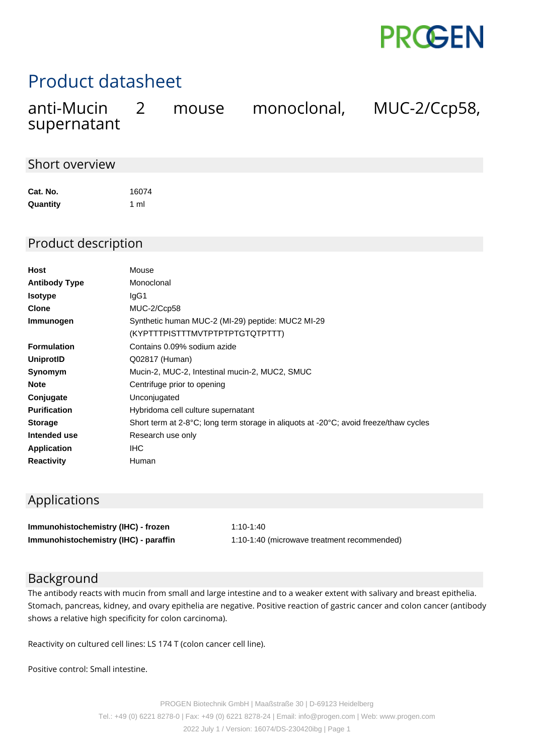

# Product datasheet

| anti-Mucin  | 2 mouse | monoclonal, | MUC-2/Ccp58, |
|-------------|---------|-------------|--------------|
| supernatant |         |             |              |

### Short overview

| Cat. No. | 16074 |
|----------|-------|
| Quantity | 1 ml  |

#### Product description

| Host                 | Mouse                                                                                                       |  |  |
|----------------------|-------------------------------------------------------------------------------------------------------------|--|--|
| <b>Antibody Type</b> | Monoclonal                                                                                                  |  |  |
| <b>Isotype</b>       | lgG1                                                                                                        |  |  |
| <b>Clone</b>         | MUC-2/Ccp58                                                                                                 |  |  |
| Immunogen            | Synthetic human MUC-2 (MI-29) peptide: MUC2 MI-29                                                           |  |  |
|                      | (KYPTTTPISTTTMVTPTPTPTGTQTPTTT)                                                                             |  |  |
| <b>Formulation</b>   | Contains 0.09% sodium azide                                                                                 |  |  |
| UniprotID            | Q02817 (Human)                                                                                              |  |  |
| Synomym              | Mucin-2, MUC-2, Intestinal mucin-2, MUC2, SMUC                                                              |  |  |
| <b>Note</b>          | Centrifuge prior to opening                                                                                 |  |  |
| Conjugate            | Unconjugated                                                                                                |  |  |
| <b>Purification</b>  | Hybridoma cell culture supernatant                                                                          |  |  |
| <b>Storage</b>       | Short term at 2-8 $^{\circ}$ C; long term storage in aliquots at -20 $^{\circ}$ C; avoid freeze/thaw cycles |  |  |
| Intended use         | Research use only                                                                                           |  |  |
| <b>Application</b>   | <b>IHC</b>                                                                                                  |  |  |
| <b>Reactivity</b>    | Human                                                                                                       |  |  |

## Applications

| Immunohistochemistry (IHC) - frozen   | 1:10-1:40                                   |
|---------------------------------------|---------------------------------------------|
| Immunohistochemistry (IHC) - paraffin | 1:10-1:40 (microwave treatment recommended) |

#### Background

The antibody reacts with mucin from small and large intestine and to a weaker extent with salivary and breast epithelia. Stomach, pancreas, kidney, and ovary epithelia are negative. Positive reaction of gastric cancer and colon cancer (antibody shows a relative high specificity for colon carcinoma).

Reactivity on cultured cell lines: LS 174 T (colon cancer cell line).

Positive control: Small intestine.